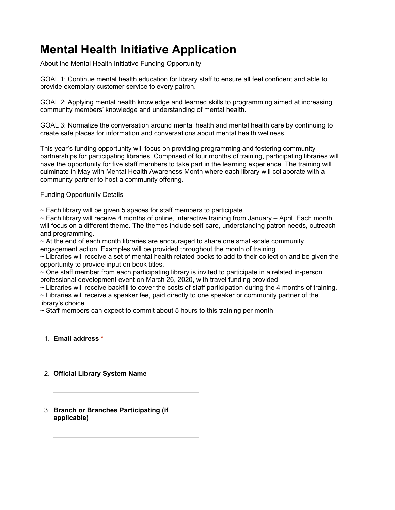# **Mental Health Initiative Application**

About the Mental Health Initiative Funding Opportunity

GOAL 1: Continue mental health education for library staff to ensure all feel confident and able to provide exemplary customer service to every patron.

GOAL 2: Applying mental health knowledge and learned skills to programming aimed at increasing community members' knowledge and understanding of mental health.

GOAL 3: Normalize the conversation around mental health and mental health care by continuing to create safe places for information and conversations about mental health wellness.

This year's funding opportunity will focus on providing programming and fostering community partnerships for participating libraries. Comprised of four months of training, participating libraries will have the opportunity for five staff members to take part in the learning experience. The training will culminate in May with Mental Health Awareness Month where each library will collaborate with a community partner to host a community offering.

# Funding Opportunity Details

 $\sim$  Each library will be given 5 spaces for staff members to participate.

 $\sim$  Each library will receive 4 months of online, interactive training from January – April. Each month will focus on a different theme. The themes include self-care, understanding patron needs, outreach and programming.

 $\sim$  At the end of each month libraries are encouraged to share one small-scale community engagement action. Examples will be provided throughout the month of training.

 $\sim$  Libraries will receive a set of mental health related books to add to their collection and be given the opportunity to provide input on book titles.

 $\sim$  One staff member from each participating library is invited to participate in a related in-person professional development event on March 26, 2020, with travel funding provided.

 $\sim$  Libraries will receive backfill to cover the costs of staff participation during the 4 months of training.

~ Libraries will receive a speaker fee, paid directly to one speaker or community partner of the library's choice.

 $\sim$  Staff members can expect to commit about 5 hours to this training per month.

# 1. **Email address \***

# 2. **Official Library System Name**

3. **Branch or Branches Participating (if applicable)**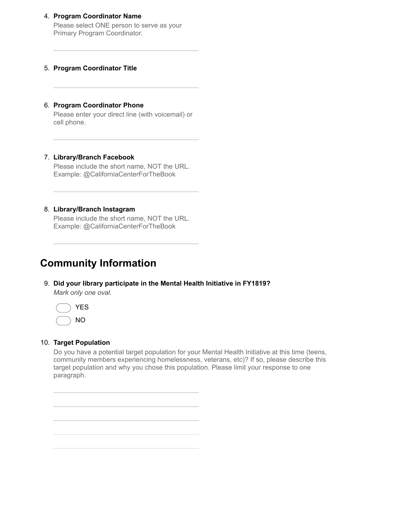### 4. **Program Coordinator Name**

Please select ONE person to serve as your Primary Program Coordinator.

### 5. **Program Coordinator Title**

### 6. **Program Coordinator Phone**

Please enter your direct line (with voicemail) or cell phone.

#### 7. **Library/Branch Facebook**

Please include the short name, NOT the URL. Example: @CaliforniaCenterForTheBook

### 8. **Library/Branch Instagram**

Please include the short name, NOT the URL. Example: @CaliforniaCenterForTheBook

# **Community Information**

9. **Did your library participate in the Mental Health Initiative in FY1819?** *Mark only one oval.*



### 10. **Target Population**

Do you have a potential target population for your Mental Health Initiative at this time (teens, community members experiencing homelessness, veterans, etc)? If so, please describe this target population and why you chose this population. Please limit your response to one paragraph.

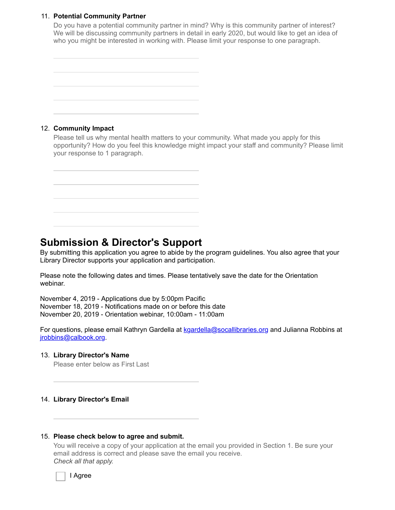# 11. **Potential Community Partner**

Do you have a potential community partner in mind? Why is this community partner of interest? We will be discussing community partners in detail in early 2020, but would like to get an idea of who you might be interested in working with. Please limit your response to one paragraph.

| the control of the control of the con-                                                                                                                                                                                        |  |                                                                                                                                                                                                                               | _____                             |
|-------------------------------------------------------------------------------------------------------------------------------------------------------------------------------------------------------------------------------|--|-------------------------------------------------------------------------------------------------------------------------------------------------------------------------------------------------------------------------------|-----------------------------------|
| the control of the control of the control of the control of the control of the control of the control of the control of the control of the control of the control of the control of the control of the control of the control |  | the control of the control of the control of the control of the control of the control of the control of the control of the control of the control of the control of the control of the control of the control of the control |                                   |
|                                                                                                                                                                                                                               |  |                                                                                                                                                                                                                               |                                   |
|                                                                                                                                                                                                                               |  |                                                                                                                                                                                                                               |                                   |
|                                                                                                                                                                                                                               |  |                                                                                                                                                                                                                               |                                   |
| ,我们也不会有什么?""我们的人,我们也不会有什么?""我们的人,我们也不会有什么?""我们的人,我们也不会有什么?""我们的人,我们也不会有什么?""我们的人                                                                                                                                              |  |                                                                                                                                                                                                                               | the control of the control of the |

# 12. **Community Impact**

Please tell us why mental health matters to your community. What made you apply for this opportunity? How do you feel this knowledge might impact your staff and community? Please limit your response to 1 paragraph.

| the control of the con-                                                                                             |                                                                                  |  |  |
|---------------------------------------------------------------------------------------------------------------------|----------------------------------------------------------------------------------|--|--|
|                                                                                                                     |                                                                                  |  |  |
|                                                                                                                     |                                                                                  |  |  |
|                                                                                                                     |                                                                                  |  |  |
| <u> 1989 - Jan Salaman Salaman (j. 1989)</u>                                                                        |                                                                                  |  |  |
|                                                                                                                     |                                                                                  |  |  |
|                                                                                                                     |                                                                                  |  |  |
| <u> 1989 - Andrea San Andrea San Andrea San Andrea San Andrea San Andrea San Andrea San Andrea San Andrea San A</u> |                                                                                  |  |  |
|                                                                                                                     |                                                                                  |  |  |
|                                                                                                                     |                                                                                  |  |  |
|                                                                                                                     |                                                                                  |  |  |
| <b>一个人的人,我们也不能</b> 是一个人的人,我们也不能是一个人的人,我们也不能是一个人的人,我们也不能是一个人的人,我们也不能是一个人的人,我们也不能是一个人的人,                              |                                                                                  |  |  |
|                                                                                                                     |                                                                                  |  |  |
|                                                                                                                     |                                                                                  |  |  |
|                                                                                                                     |                                                                                  |  |  |
|                                                                                                                     | ,我们也不会不会不会。""我们的人,我们也不会不会不会。""我们的人,我们也不会不会不会不会。""我们的人,我们也不会不会不会不会。""我们的人,我们也不会不会 |  |  |

# **Submission & Director's Support**

By submitting this application you agree to abide by the program guidelines. You also agree that your Library Director supports your application and participation.

Please note the following dates and times. Please tentatively save the date for the Orientation webinar.

November 4, 2019 - Applications due by 5:00pm Pacific November 18, 2019 - Notifications made on or before this date November 20, 2019 - Orientation webinar, 10:00am - 11:00am

For questions, please email Kathryn Gardella at [kgardella@socallibraries.org](mailto:kgardella@socallibraries.org) and Julianna Robbins at [jrobbins@calbook.org.](mailto:jrobbins@calbook.org)

# 13. **Library Director's Name**

Please enter below as First Last

#### 14. **Library Director's Email**

### 15. **Please check below to agree and submit.**

You will receive a copy of your application at the email you provided in Section 1. Be sure your email address is correct and please save the email you receive. *Check all that apply.*



I Agree